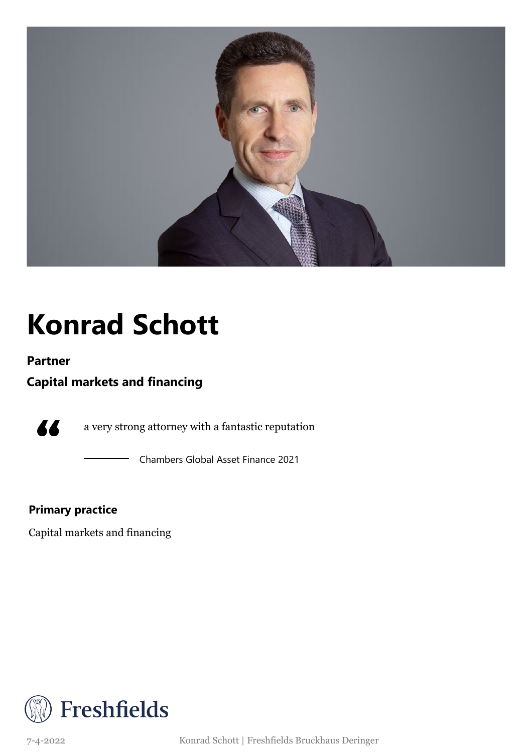

## **Konrad Schott**

#### **Partner**

### **Capital markets and financing**

77

a very strong attorney with a fantastic reputation

Chambers Global Asset Finance 2021

### **Primary practice**

Capital markets and financing

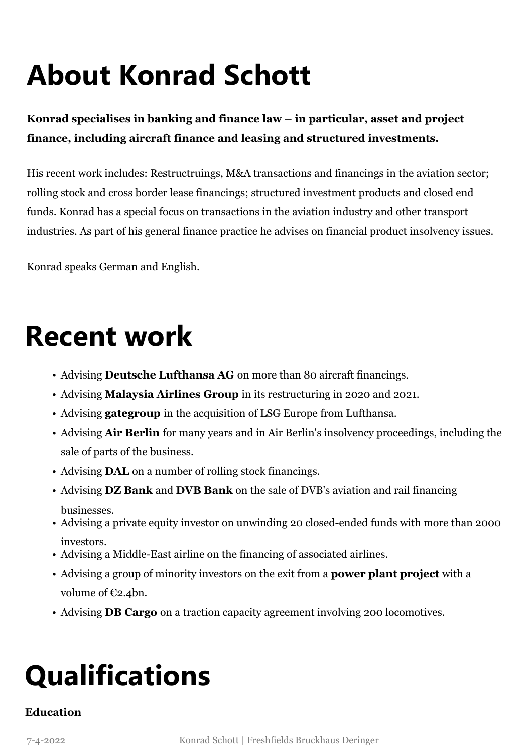# **About Konrad Schott**

### **Konrad specialises in banking and finance law – in particular, asset and project finance, including aircraft finance and leasing and structured investments.**

His recent work includes: Restructruings, M&A transactions and financings in the aviation sector; rolling stock and cross border lease financings; structured investment products and closed end funds. Konrad has a special focus on transactions in the aviation industry and other transport industries. As part of his general finance practice he advises on financial product insolvency issues.

Konrad speaks German and English.

### **Recent work**

- Advising **Deutsche Lufthansa AG** on more than 80 aircraft financings.
- Advising **Malaysia Airlines Group** in its restructuring in 2020 and 2021.
- Advising **gategroup** in the acquisition of LSG Europe from Lufthansa.
- Advising **Air Berlin** for many years and in Air Berlin's insolvency proceedings, including the sale of parts of the business.
- Advising **DAL** on a number of rolling stock financings.
- Advising **DZ Bank** and **DVB Bank** on the sale of DVB's aviation and rail financing businesses.
- Advising a private equity investor on unwinding 20 closed-ended funds with more than 2000 investors.
- Advising a Middle-East airline on the financing of associated airlines.
- Advising a group of minority investors on the exit from a **power plant project** with a volume of €2.4bn.
- Advising **DB Cargo** on a traction capacity agreement involving 200 locomotives.

# **Qualifications**

### **Education**